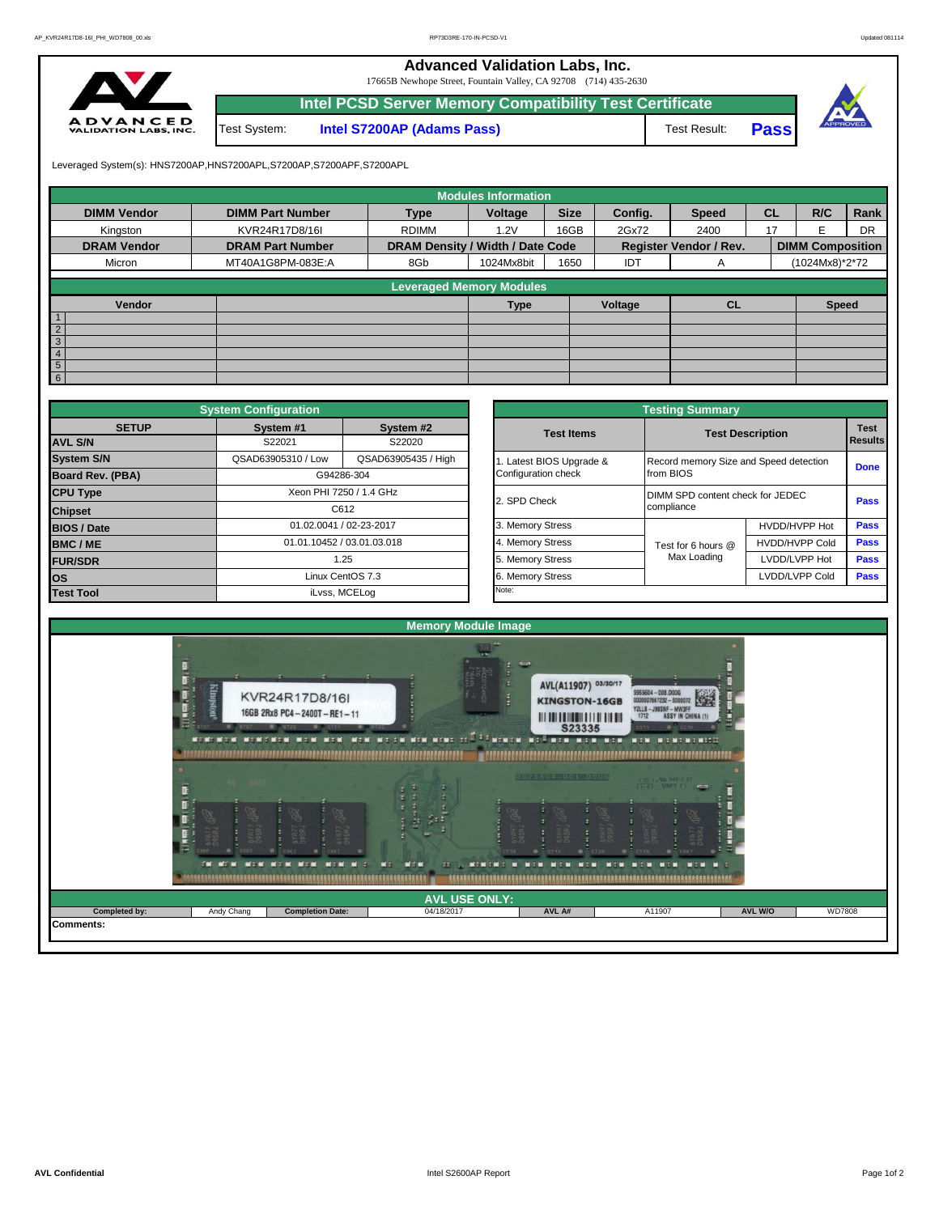**Advanced Validation Labs, Inc.** 

17665B Newhope Street, Fountain Valley, CA 92708 (714) 435-2630



|              | Intel PCSD Server Memory Compatibility Test Certificate |              |             |  |
|--------------|---------------------------------------------------------|--------------|-------------|--|
| Test System: | <b>Intel S7200AP (Adams Pass)</b>                       | Test Result: | <b>Pass</b> |  |



Leveraged System(s): HNS7200AP,HNS7200APL,S7200AP,S7200APF,S7200APL

|                              |                         |                                  | <b>Modules Information</b> |             |         |                               |           |                         |           |
|------------------------------|-------------------------|----------------------------------|----------------------------|-------------|---------|-------------------------------|-----------|-------------------------|-----------|
| <b>DIMM Vendor</b>           | <b>DIMM Part Number</b> | <b>Type</b>                      | Voltage                    | <b>Size</b> | Config. | <b>Speed</b>                  | <b>CL</b> | R/C                     | Rank      |
| Kingston                     | KVR24R17D8/16I          | <b>RDIMM</b>                     | 1.2V                       | 16GB        | 2Gx72   | 2400                          | 17        | F                       | <b>DR</b> |
| <b>DRAM Vendor</b>           | <b>DRAM Part Number</b> | DRAM Density / Width / Date Code |                            |             |         | <b>Register Vendor / Rev.</b> |           | <b>DIMM Composition</b> |           |
| Micron                       | MT40A1G8PM-083E:A       | 8Gb                              | 1024Mx8bit                 | 1650        | IDT     | A                             |           | (1024Mx8)*2*72          |           |
|                              |                         | <b>Leveraged Memory Modules</b>  |                            |             |         |                               |           |                         |           |
| Vendor                       |                         |                                  | <b>Type</b>                |             | Voltage | <b>CL</b>                     |           | <b>Speed</b>            |           |
| $\overline{1}$               |                         |                                  |                            |             |         |                               |           |                         |           |
| $\overline{2}$               |                         |                                  |                            |             |         |                               |           |                         |           |
| $\sqrt{3}$<br>$\overline{4}$ |                         |                                  |                            |             |         |                               |           |                         |           |
| $5\overline{)}$              |                         |                                  |                            |             |         |                               |           |                         |           |
| $6\overline{6}$              |                         |                                  |                            |             |         |                               |           |                         |           |

|                         | <b>System Configuration</b> |                            |                       | <b>Testing Summary</b>                 |                         |             |
|-------------------------|-----------------------------|----------------------------|-----------------------|----------------------------------------|-------------------------|-------------|
| <b>SETUP</b>            | System #1                   | System #2                  | <b>Test Items</b>     |                                        | <b>Test Description</b> | <b>Test</b> |
| <b>AVL S/N</b>          | S22021                      | S22020                     |                       |                                        |                         | Results     |
| <b>System S/N</b>       | QSAD63905310 / Low          | QSAD63905435 / High        | Latest BIOS Upgrade & | Record memory Size and Speed detection |                         | <b>Done</b> |
| <b>Board Rev. (PBA)</b> |                             | G94286-304                 | Configuration check   | from BIOS                              |                         |             |
| <b>CPU Type</b>         |                             | Xeon PHI 7250 / 1.4 GHz    | 2. SPD Check          | DIMM SPD content check for JEDEC       |                         | Pass        |
| <b>Chipset</b>          |                             | C612                       |                       | compliance                             |                         |             |
| <b>BIOS / Date</b>      |                             | 01.02.0041 / 02-23-2017    | 3. Memory Stress      |                                        | HVDD/HVPP Hot           | <b>Pass</b> |
| <b>BMC/ME</b>           |                             | 01.01.10452 / 03.01.03.018 | 4. Memory Stress      | Test for 6 hours @                     | <b>HVDD/HVPP Cold</b>   | Pass        |
| <b>FUR/SDR</b>          |                             | 1.25                       | 5. Memory Stress      | Max Loading                            | LVDD/LVPP Hot           | <b>Pass</b> |
| los                     |                             | Linux CentOS 7.3           | 6. Memory Stress      |                                        | LVDD/LVPP Cold          | Pass        |
| <b>Test Tool</b>        |                             | iLvss, MCELog              | Note:                 |                                        |                         |             |

|              | <b>System Configuration</b> |                            |                       | <b>Testing Summary</b>                 |                         |                               |
|--------------|-----------------------------|----------------------------|-----------------------|----------------------------------------|-------------------------|-------------------------------|
| <b>SETUP</b> | System #1<br>S22021         | System #2<br>S22020        | <b>Test Items</b>     |                                        | <b>Test Description</b> | <b>Test</b><br><b>Results</b> |
|              | QSAD63905310 / Low          | QSAD63905435 / High        | Latest BIOS Upgrade & | Record memory Size and Speed detection |                         |                               |
| PBA)         |                             | G94286-304                 | Configuration check   | from BIOS                              |                         | <b>Done</b>                   |
|              |                             | Xeon PHI 7250 / 1.4 GHz    | 2. SPD Check          | DIMM SPD content check for JEDEC       |                         | Pass                          |
|              |                             | C612                       |                       | compliance                             |                         |                               |
|              |                             | 01.02.0041 / 02-23-2017    | 3. Memory Stress      |                                        | HVDD/HVPP Hot           | Pass                          |
|              |                             | 01.01.10452 / 03.01.03.018 | 4. Memory Stress      | Test for 6 hours @                     | <b>HVDD/HVPP Cold</b>   | Pass                          |
|              |                             | 1.25                       | 5. Memory Stress      | Max Loading                            | LVDD/LVPP Hot           | Pass                          |
|              |                             | Linux CentOS 7.3           | 6. Memory Stress      |                                        | LVDD/LVPP Cold          | Pass                          |
|              |                             | iLvss, MCELog              | Note:                 |                                        |                         |                               |